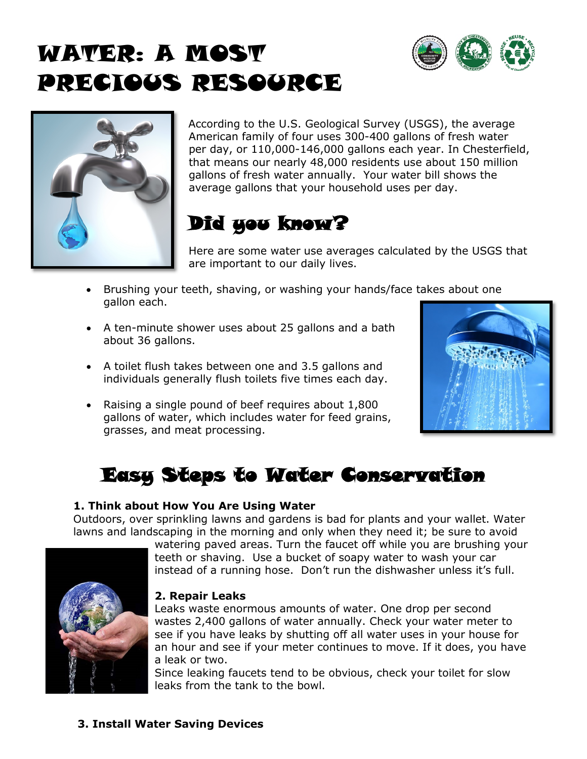# WATER: A MOST PRECIOUS RESOURCE





According to the U.S. Geological Survey (USGS), the average American family of four uses 300-400 gallons of fresh water per day, or 110,000-146,000 gallons each year. In Chesterfield, that means our nearly 48,000 residents use about 150 million gallons of fresh water annually. Your water bill shows the average gallons that your household uses per day.

## Did you know?

Here are some water use averages calculated by the USGS that are important to our daily lives.

- Brushing your teeth, shaving, or washing your hands/face takes about one gallon each.
- A ten-minute shower uses about 25 gallons and a bath about 36 gallons.
- A toilet flush takes between one and 3.5 gallons and individuals generally flush toilets five times each day.
- Raising a single pound of beef requires about 1,800 gallons of water, which includes water for feed grains, grasses, and meat processing.



## Easy Steps to Water Conservation

#### **1. Think about How You Are Using Water**

Outdoors, over sprinkling lawns and gardens is bad for plants and your wallet. Water lawns and landscaping in the morning and only when they need it; be sure to avoid



#### **2. Repair Leaks**

Leaks waste enormous amounts of water. One drop per second wastes 2,400 gallons of water annually. Check your water meter to see if you have leaks by shutting off all water uses in your house for an hour and see if your meter continues to move. If it does, you have a leak or two.

Since leaking faucets tend to be obvious, check your toilet for slow leaks from the tank to the bowl.

#### **3. Install Water Saving Devices**